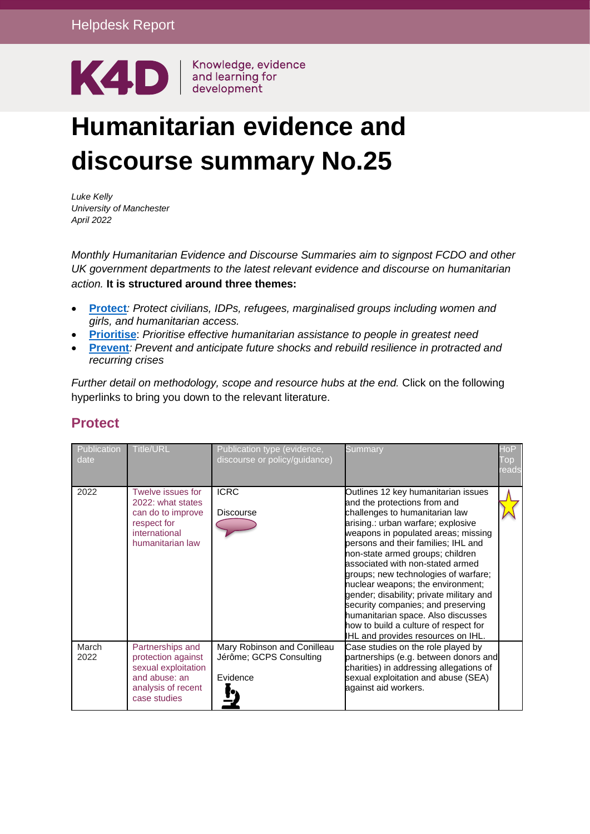

# **Humanitarian evidence and discourse summary No.25**

*Luke Kelly University of Manchester April 2022*

*Monthly Humanitarian Evidence and Discourse Summaries aim to signpost FCDO and other UK government departments to the latest relevant evidence and discourse on humanitarian action.* **It is structured around three themes:**

- **Protect***: Protect civilians, IDPs, refugees, marginalised groups including women and girls, and humanitarian access.*
- **Prioritise**: *Prioritise effective humanitarian assistance to people in greatest need*
- **Prevent***: Prevent and anticipate future shocks and rebuild resilience in protracted and recurring crises*

*Further detail on methodology, scope and resource hubs at the end.* Click on the following hyperlinks to bring you down to the relevant literature.

| Publication<br>date | <b>Title/URL</b>                                                                                                     | Publication type (evidence,<br>discourse or policy/guidance)       | Summary                                                                                                                                                                                                                                                                                                                                                                                                                                                                                                                                                                               | $\mathsf{doP}$<br>Гор<br>eadsl |
|---------------------|----------------------------------------------------------------------------------------------------------------------|--------------------------------------------------------------------|---------------------------------------------------------------------------------------------------------------------------------------------------------------------------------------------------------------------------------------------------------------------------------------------------------------------------------------------------------------------------------------------------------------------------------------------------------------------------------------------------------------------------------------------------------------------------------------|--------------------------------|
| 2022                | Twelve issues for<br>2022: what states<br>can do to improve<br>respect for<br>international<br>humanitarian law      | <b>ICRC</b><br>Discourse                                           | Outlines 12 key humanitarian issues<br>and the protections from and<br>challenges to humanitarian law<br>arising.: urban warfare; explosive<br>weapons in populated areas; missing<br>persons and their families; IHL and<br>non-state armed groups; children<br>associated with non-stated armed<br>groups; new technologies of warfare;<br>nuclear weapons; the environment;<br>gender; disability; private military and<br>security companies; and preserving<br>humanitarian space. Also discusses<br>how to build a culture of respect for<br>IHL and provides resources on IHL. |                                |
| March<br>2022       | Partnerships and<br>protection against<br>sexual exploitation<br>and abuse: an<br>analysis of recent<br>case studies | Mary Robinson and Conilleau<br>Jérôme; GCPS Consulting<br>Evidence | Case studies on the role played by<br>partnerships (e.g. between donors and<br>charities) in addressing allegations of<br>sexual exploitation and abuse (SEA)<br>against aid workers.                                                                                                                                                                                                                                                                                                                                                                                                 |                                |

## **Protect**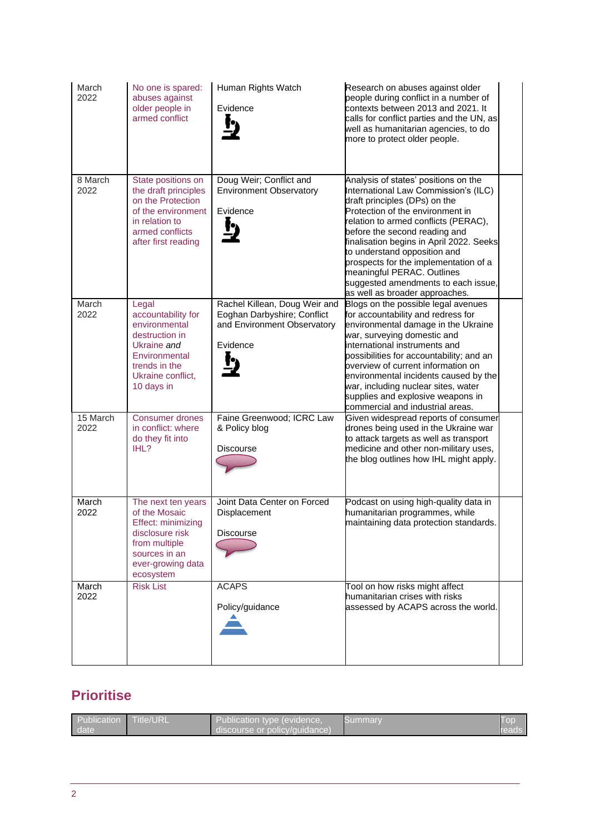| March<br>2022      | No one is spared:<br>abuses against<br>older people in<br>armed conflict                                                                           | Human Rights Watch<br>Evidence                                                                          | Research on abuses against older<br>people during conflict in a number of<br>contexts between 2013 and 2021. It<br>calls for conflict parties and the UN, as<br>well as humanitarian agencies, to do<br>more to protect older people.                                                                                                                                                                                                                  |
|--------------------|----------------------------------------------------------------------------------------------------------------------------------------------------|---------------------------------------------------------------------------------------------------------|--------------------------------------------------------------------------------------------------------------------------------------------------------------------------------------------------------------------------------------------------------------------------------------------------------------------------------------------------------------------------------------------------------------------------------------------------------|
| 8 March<br>2022    | State positions on<br>the draft principles<br>on the Protection<br>of the environment<br>in relation to<br>armed conflicts<br>after first reading  | Doug Weir; Conflict and<br><b>Environment Observatory</b><br>Evidence<br><u>!)</u>                      | Analysis of states' positions on the<br>International Law Commission's (ILC)<br>draft principles (DPs) on the<br>Protection of the environment in<br>relation to armed conflicts (PERAC),<br>before the second reading and<br>finalisation begins in April 2022. Seeks<br>to understand opposition and<br>prospects for the implementation of a<br>meaningful PERAC. Outlines<br>suggested amendments to each issue,<br>as well as broader approaches. |
| March<br>2022      | Legal<br>accountability for<br>environmental<br>destruction in<br>Ukraine and<br>Environmental<br>trends in the<br>Ukraine conflict,<br>10 days in | Rachel Killean, Doug Weir and<br>Eoghan Darbyshire; Conflict<br>and Environment Observatory<br>Evidence | Blogs on the possible legal avenues<br>for accountability and redress for<br>environmental damage in the Ukraine<br>war, surveying domestic and<br>international instruments and<br>possibilities for accountability; and an<br>overview of current information on<br>environmental incidents caused by the<br>war, including nuclear sites, water<br>supplies and explosive weapons in<br>commercial and industrial areas.                            |
| $15$ March<br>2022 | <b>Consumer drones</b><br>in conflict: where<br>do they fit into<br>IHL?                                                                           | Faine Greenwood; ICRC Law<br>& Policy blog<br>Discourse                                                 | Given widespread reports of consumer<br>drones being used in the Ukraine war<br>to attack targets as well as transport<br>medicine and other non-military uses,<br>the blog outlines how IHL might apply.                                                                                                                                                                                                                                              |
| March<br>2022      | The next ten years<br>of the Mosaic<br>Effect: minimizing<br>disclosure risk<br>from multiple<br>sources in an<br>ever-growing data<br>ecosystem   | Joint Data Center on Forced<br>Displacement<br>Discourse                                                | Podcast on using high-quality data in<br>humanitarian programmes, while<br>maintaining data protection standards.                                                                                                                                                                                                                                                                                                                                      |
| March<br>2022      | <b>Risk List</b>                                                                                                                                   | <b>ACAPS</b><br>Policy/guidance                                                                         | Tool on how risks might affect<br>humanitarian crises with risks<br>assessed by ACAPS across the world.                                                                                                                                                                                                                                                                                                                                                |

# **Prioritise**

| Publication<br>date | <b>Title/URL</b> | Publication type (evidence,<br>discourse or policy/quidance) | ⊳ummarv |  |
|---------------------|------------------|--------------------------------------------------------------|---------|--|
|---------------------|------------------|--------------------------------------------------------------|---------|--|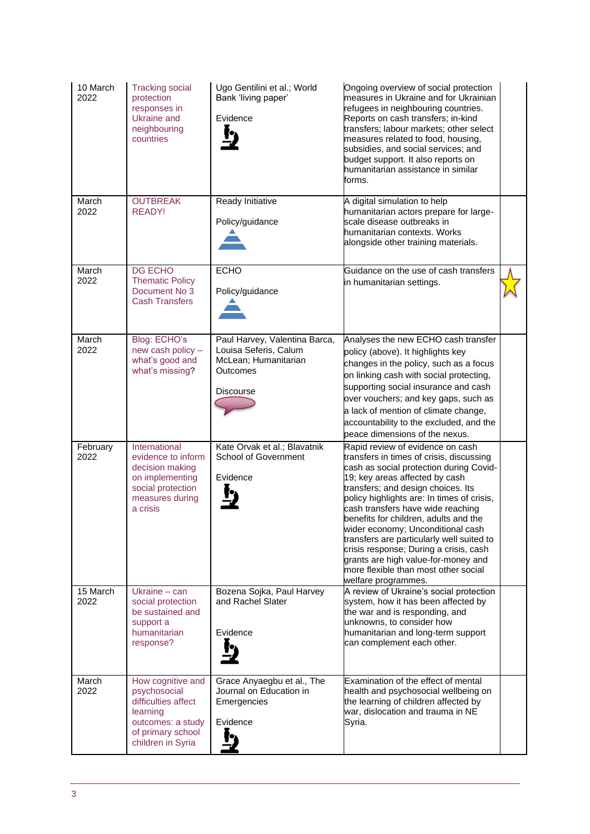| 10 March<br>2022 | <b>Tracking social</b><br>protection<br>responses in<br>Ukraine and<br>neighbouring<br>countries                                    | Ugo Gentilini et al.; World<br>Bank 'living paper'<br>Evidence                                          | Ongoing overview of social protection<br>measures in Ukraine and for Ukrainian<br>refugees in neighbouring countries.<br>Reports on cash transfers; in-kind<br>transfers; labour markets; other select<br>measures related to food, housing,<br>subsidies, and social services; and<br>budget support. It also reports on<br>humanitarian assistance in similar<br>forms.                                                                                                                                                                                     |  |
|------------------|-------------------------------------------------------------------------------------------------------------------------------------|---------------------------------------------------------------------------------------------------------|---------------------------------------------------------------------------------------------------------------------------------------------------------------------------------------------------------------------------------------------------------------------------------------------------------------------------------------------------------------------------------------------------------------------------------------------------------------------------------------------------------------------------------------------------------------|--|
| March<br>2022    | <b>OUTBREAK</b><br><b>READY!</b>                                                                                                    | Ready Initiative<br>Policy/guidance                                                                     | A digital simulation to help<br>humanitarian actors prepare for large-<br>scale disease outbreaks in<br>humanitarian contexts. Works<br>alongside other training materials.                                                                                                                                                                                                                                                                                                                                                                                   |  |
| March<br>2022    | DG ECHO<br><b>Thematic Policy</b><br>Document No 3<br><b>Cash Transfers</b>                                                         | <b>ECHO</b><br>Policy/guidance                                                                          | Guidance on the use of cash transfers<br>in humanitarian settings.                                                                                                                                                                                                                                                                                                                                                                                                                                                                                            |  |
| March<br>2022    | Blog: ECHO's<br>new cash policy -<br>what's good and<br>what's missing?                                                             | Paul Harvey, Valentina Barca,<br>Louisa Seferis, Calum<br>McLean; Humanitarian<br>Outcomes<br>Discourse | Analyses the new ECHO cash transfer<br>policy (above). It highlights key<br>changes in the policy, such as a focus<br>on linking cash with social protecting,<br>supporting social insurance and cash<br>over vouchers; and key gaps, such as<br>a lack of mention of climate change,<br>accountability to the excluded, and the<br>peace dimensions of the nexus.                                                                                                                                                                                            |  |
| February<br>2022 | International<br>evidence to inform<br>decision making<br>on implementing<br>social protection<br>measures during<br>a crisis       | Kate Orvak et al.; Blavatnik<br><b>School of Government</b><br>Evidence                                 | Rapid review of evidence on cash<br>transfers in times of crisis, discussing<br>cash as social protection during Covid-<br>19; key areas affected by cash<br>transfers; and design choices. Its<br>policy highlights are: In times of crisis,<br>cash transfers have wide reaching<br>benefits for children, adults and the<br>wider economy; Unconditional cash<br>transfers are particularly well suited to<br>crisis response; During a crisis, cash<br>grants are high value-for-money and<br>more flexible than most other social<br>welfare programmes. |  |
| 15 March<br>2022 | Ukraine $-$ can<br>social protection<br>be sustained and<br>support a<br>humanitarian<br>response?                                  | Bozena Sojka, Paul Harvey<br>and Rachel Slater<br>Evidence                                              | A review of Ukraine's social protection<br>system, how it has been affected by<br>the war and is responding, and<br>unknowns, to consider how<br>humanitarian and long-term support<br>can complement each other.                                                                                                                                                                                                                                                                                                                                             |  |
| March<br>2022    | How cognitive and<br>psychosocial<br>difficulties affect<br>learning<br>outcomes: a study<br>of primary school<br>children in Syria | Grace Anyaegbu et al., The<br>Journal on Education in<br>Emergencies<br>Evidence                        | Examination of the effect of mental<br>health and psychosocial wellbeing on<br>the learning of children affected by<br>war, dislocation and trauma in NE<br>Syria.                                                                                                                                                                                                                                                                                                                                                                                            |  |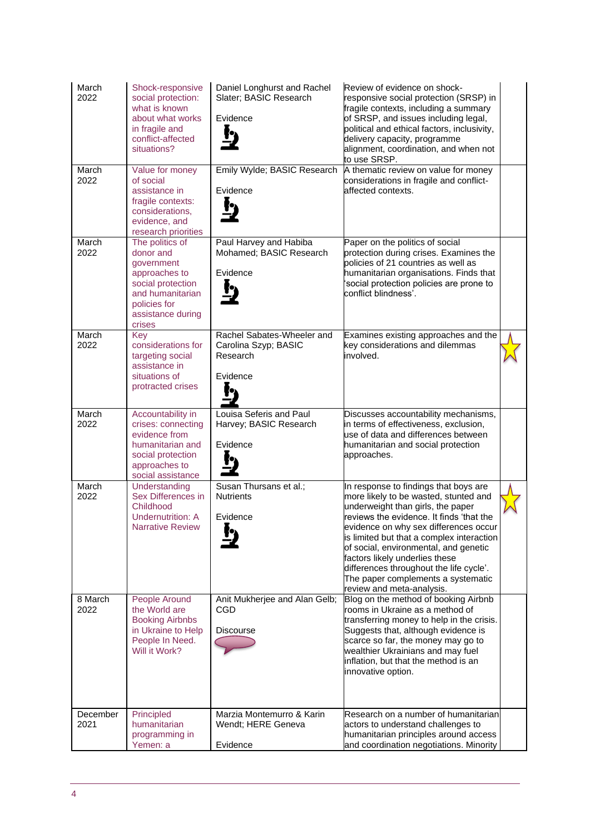| March<br>2022    | Shock-responsive<br>social protection:<br>what is known<br>about what works<br>in fragile and<br>conflict-affected<br>situations?                   | Daniel Longhurst and Rachel<br>Slater; BASIC Research<br>Evidence          | Review of evidence on shock-<br>responsive social protection (SRSP) in<br>fragile contexts, including a summary<br>of SRSP, and issues including legal,<br>political and ethical factors, inclusivity,<br>delivery capacity, programme<br>alignment, coordination, and when not<br>to use SRSP.                                                                                                                                                |  |
|------------------|-----------------------------------------------------------------------------------------------------------------------------------------------------|----------------------------------------------------------------------------|------------------------------------------------------------------------------------------------------------------------------------------------------------------------------------------------------------------------------------------------------------------------------------------------------------------------------------------------------------------------------------------------------------------------------------------------|--|
| March<br>2022    | Value for money<br>of social<br>assistance in<br>fragile contexts:<br>considerations,<br>evidence, and<br>research priorities                       | Emily Wylde; BASIC Research<br>Evidence                                    | A thematic review on value for money<br>considerations in fragile and conflict-<br>affected contexts.                                                                                                                                                                                                                                                                                                                                          |  |
| March<br>2022    | The politics of<br>donor and<br>government<br>approaches to<br>social protection<br>and humanitarian<br>policies for<br>assistance during<br>crises | Paul Harvey and Habiba<br>Mohamed; BASIC Research<br>Evidence              | Paper on the politics of social<br>protection during crises. Examines the<br>policies of 21 countries as well as<br>humanitarian organisations. Finds that<br>social protection policies are prone to<br>conflict blindness'.                                                                                                                                                                                                                  |  |
| March<br>2022    | Key<br>considerations for<br>targeting social<br>assistance in<br>situations of<br>protracted crises                                                | Rachel Sabates-Wheeler and<br>Carolina Szyp; BASIC<br>Research<br>Evidence | Examines existing approaches and the<br>key considerations and dilemmas<br>involved.                                                                                                                                                                                                                                                                                                                                                           |  |
| March<br>2022    | Accountability in<br>crises: connecting<br>evidence from<br>humanitarian and<br>social protection<br>approaches to<br>social assistance             | Louisa Seferis and Paul<br>Harvey; BASIC Research<br>Evidence              | Discusses accountability mechanisms,<br>in terms of effectiveness, exclusion,<br>use of data and differences between<br>humanitarian and social protection<br>approaches.                                                                                                                                                                                                                                                                      |  |
| March<br>2022    | Understanding<br>Sex Differences in<br>Childhood<br>Undernutrition: A<br><b>Narrative Review</b>                                                    | Susan Thursans et al.;<br><b>Nutrients</b><br>Evidence                     | In response to findings that boys are<br>more likely to be wasted, stunted and<br>underweight than girls, the paper<br>reviews the evidence. It finds 'that the<br>evidence on why sex differences occur<br>is limited but that a complex interaction<br>of social, environmental, and genetic<br>factors likely underlies these<br>differences throughout the life cycle'.<br>The paper complements a systematic<br>review and meta-analysis. |  |
| 8 March<br>2022  | People Around<br>the World are<br><b>Booking Airbnbs</b><br>in Ukraine to Help<br>People In Need.<br>Will it Work?                                  | Anit Mukherjee and Alan Gelb;<br>CGD<br>Discourse                          | Blog on the method of booking Airbnb<br>rooms in Ukraine as a method of<br>transferring money to help in the crisis.<br>Suggests that, although evidence is<br>scarce so far, the money may go to<br>wealthier Ukrainians and may fuel<br>inflation, but that the method is an<br>innovative option.                                                                                                                                           |  |
| December<br>2021 | Principled<br>humanitarian<br>programming in<br>Yemen: a                                                                                            | Marzia Montemurro & Karin<br>Wendt; HERE Geneva<br>Evidence                | Research on a number of humanitarian<br>actors to understand challenges to<br>humanitarian principles around access<br>and coordination negotiations. Minority                                                                                                                                                                                                                                                                                 |  |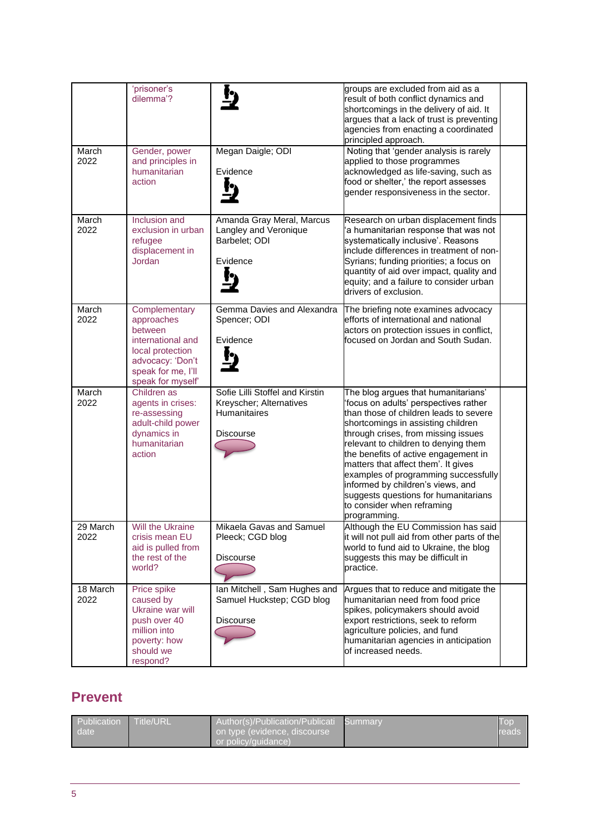|                  | 'prisoner's<br>dilemma'?                                                                                                                       |                                                                                                | groups are excluded from aid as a<br>result of both conflict dynamics and<br>shortcomings in the delivery of aid. It<br>argues that a lack of trust is preventing<br>agencies from enacting a coordinated<br>principled approach.                                                                                                                                                                                                                                                             |  |
|------------------|------------------------------------------------------------------------------------------------------------------------------------------------|------------------------------------------------------------------------------------------------|-----------------------------------------------------------------------------------------------------------------------------------------------------------------------------------------------------------------------------------------------------------------------------------------------------------------------------------------------------------------------------------------------------------------------------------------------------------------------------------------------|--|
| March<br>2022    | Gender, power<br>and principles in<br>humanitarian<br>action                                                                                   | Megan Daigle; ODI<br>Evidence                                                                  | Noting that 'gender analysis is rarely<br>applied to those programmes<br>acknowledged as life-saving, such as<br>food or shelter,' the report assesses<br>gender responsiveness in the sector.                                                                                                                                                                                                                                                                                                |  |
| March<br>2022    | Inclusion and<br>exclusion in urban<br>refugee<br>displacement in<br>Jordan                                                                    | Amanda Gray Meral, Marcus<br>Langley and Veronique<br>Barbelet; ODI<br>Evidence                | Research on urban displacement finds<br>a humanitarian response that was not<br>systematically inclusive'. Reasons<br>include differences in treatment of non-<br>Syrians; funding priorities; a focus on<br>quantity of aid over impact, quality and<br>equity; and a failure to consider urban<br>drivers of exclusion.                                                                                                                                                                     |  |
| March<br>2022    | Complementary<br>approaches<br>between<br>international and<br>local protection<br>advocacy: 'Don't<br>speak for me, I'll<br>speak for myself' | Gemma Davies and Alexandra<br>Spencer; ODI<br>Evidence                                         | The briefing note examines advocacy<br>efforts of international and national<br>actors on protection issues in conflict,<br>focused on Jordan and South Sudan.                                                                                                                                                                                                                                                                                                                                |  |
| March<br>2022    | Children as<br>agents in crises:<br>re-assessing<br>adult-child power<br>dynamics in<br>humanitarian<br>action                                 | Sofie Lilli Stoffel and Kirstin<br>Kreyscher; Alternatives<br><b>Humanitaires</b><br>Discourse | The blog argues that humanitarians'<br>'focus on adults' perspectives rather<br>than those of children leads to severe<br>shortcomings in assisting children<br>through crises, from missing issues<br>relevant to children to denying them<br>the benefits of active engagement in<br>matters that affect them'. It gives<br>examples of programming successfully<br>informed by children's views, and<br>suggests questions for humanitarians<br>to consider when reframing<br>programming. |  |
| 29 March<br>2022 | Will the Ukraine<br>crisis mean EU<br>aid is pulled from<br>the rest of the<br>world?                                                          | Mikaela Gavas and Samuel<br>Pleeck; CGD blog<br><b>Discourse</b>                               | Although the EU Commission has said<br>it will not pull aid from other parts of the<br>world to fund aid to Ukraine, the blog<br>suggests this may be difficult in<br>practice.                                                                                                                                                                                                                                                                                                               |  |
| 18 March<br>2022 | Price spike<br>caused by<br>Ukraine war will<br>push over 40<br>million into<br>poverty: how<br>should we<br>respond?                          | Ian Mitchell, Sam Hughes and<br>Samuel Huckstep; CGD blog<br><b>Discourse</b>                  | Argues that to reduce and mitigate the<br>humanitarian need from food price<br>spikes, policymakers should avoid<br>export restrictions, seek to reform<br>agriculture policies, and fund<br>humanitarian agencies in anticipation<br>of increased needs.                                                                                                                                                                                                                                     |  |

## **Prevent**

| Publication Title/URL<br>date <sup>1</sup> | Author(s)/Publication/Publicati Summary<br>on type (evidence, discourse ' | Top<br>reads |
|--------------------------------------------|---------------------------------------------------------------------------|--------------|
|                                            | or policy/guidance) \                                                     |              |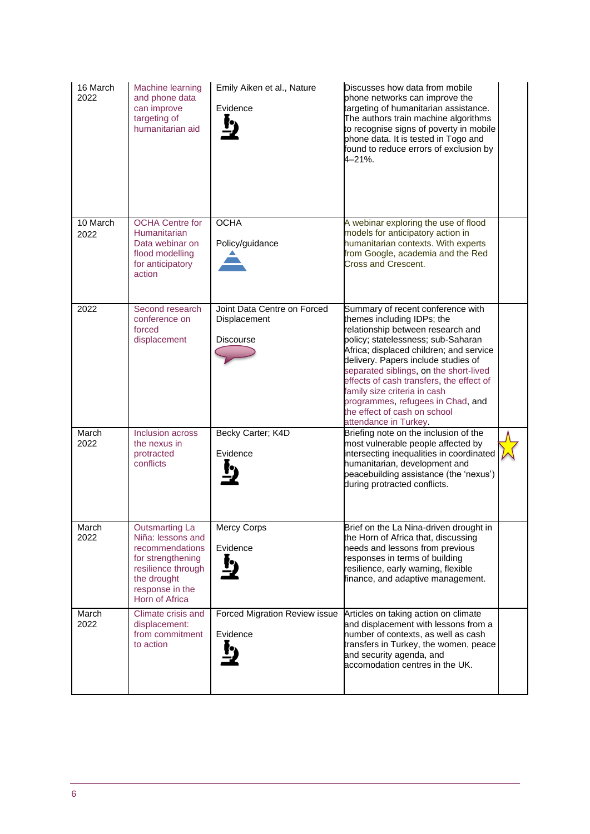| 16 March<br>2022 | <b>Machine learning</b><br>and phone data<br>can improve<br>targeting of<br>humanitarian aid                                                                 | Emily Aiken et al., Nature<br>Evidence                          | Discusses how data from mobile<br>phone networks can improve the<br>targeting of humanitarian assistance.<br>The authors train machine algorithms<br>to recognise signs of poverty in mobile<br>phone data. It is tested in Togo and<br>found to reduce errors of exclusion by<br>4-21%.                                                                                                                                                         |  |
|------------------|--------------------------------------------------------------------------------------------------------------------------------------------------------------|-----------------------------------------------------------------|--------------------------------------------------------------------------------------------------------------------------------------------------------------------------------------------------------------------------------------------------------------------------------------------------------------------------------------------------------------------------------------------------------------------------------------------------|--|
| 10 March<br>2022 | <b>OCHA Centre for</b><br>Humanitarian<br>Data webinar on<br>flood modelling<br>for anticipatory<br>action                                                   | <b>OCHA</b><br>Policy/guidance                                  | A webinar exploring the use of flood<br>models for anticipatory action in<br>humanitarian contexts. With experts<br>from Google, academia and the Red<br>Cross and Crescent.                                                                                                                                                                                                                                                                     |  |
| 2022             | Second research<br>conference on<br>forced<br>displacement                                                                                                   | Joint Data Centre on Forced<br>Displacement<br><b>Discourse</b> | Summary of recent conference with<br>themes including IDPs; the<br>relationship between research and<br>policy; statelessness; sub-Saharan<br>Africa; displaced children; and service<br>delivery. Papers include studies of<br>separated siblings, on the short-lived<br>effects of cash transfers, the effect of<br>family size criteria in cash<br>programmes, refugees in Chad, and<br>the effect of cash on school<br>attendance in Turkey. |  |
| March<br>2022    | Inclusion across<br>the nexus in<br>protracted<br>conflicts                                                                                                  | Becky Carter; K4D<br>Evidence                                   | Briefing note on the inclusion of the<br>most vulnerable people affected by<br>intersecting inequalities in coordinated<br>humanitarian, development and<br>peacebuilding assistance (the 'nexus')<br>during protracted conflicts.                                                                                                                                                                                                               |  |
| March<br>2022    | <b>Outsmarting La</b><br>Niña: lessons and<br>recommendations<br>for strengthening<br>resilience through<br>the drought<br>response in the<br>Horn of Africa | <b>Mercy Corps</b><br>Evidence                                  | Brief on the La Nina-driven drought in<br>the Horn of Africa that, discussing<br>needs and lessons from previous<br>responses in terms of building<br>resilience, early warning, flexible<br>finance, and adaptive management.                                                                                                                                                                                                                   |  |
| March<br>2022    | Climate crisis and<br>displacement:<br>from commitment<br>to action                                                                                          | Forced Migration Review issue<br>Evidence                       | Articles on taking action on climate<br>and displacement with lessons from a<br>number of contexts, as well as cash<br>transfers in Turkey, the women, peace<br>and security agenda, and<br>accomodation centres in the UK.                                                                                                                                                                                                                      |  |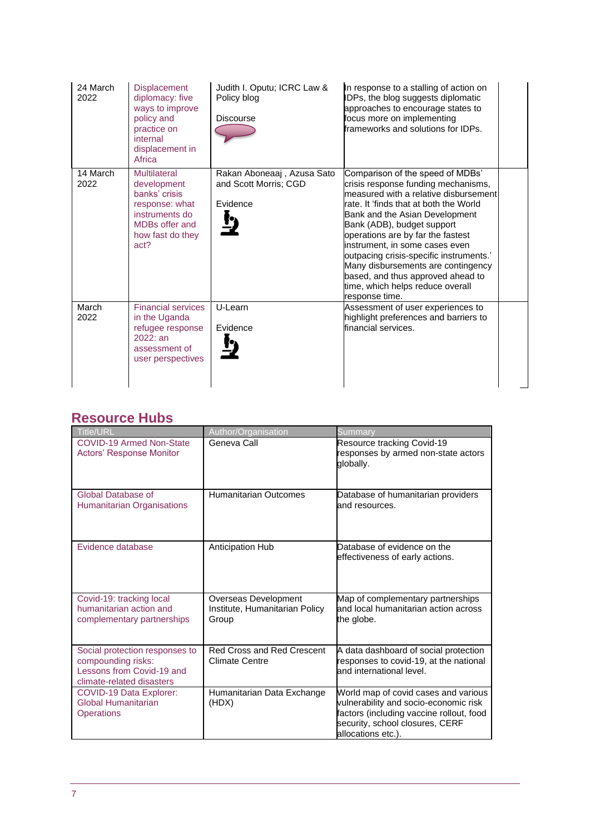| 24 March<br>2022 | <b>Displacement</b><br>diplomacy: five<br>ways to improve<br>policy and<br>practice on<br>internal<br>displacement in<br>Africa | Judith I. Oputu; ICRC Law &<br>Policy blog<br>Discourse         | In response to a stalling of action on<br>IDPs, the blog suggests diplomatic<br>approaches to encourage states to<br>focus more on implementing<br>frameworks and solutions for IDPs.                                                                                                                                                                                                                                                                                         |  |
|------------------|---------------------------------------------------------------------------------------------------------------------------------|-----------------------------------------------------------------|-------------------------------------------------------------------------------------------------------------------------------------------------------------------------------------------------------------------------------------------------------------------------------------------------------------------------------------------------------------------------------------------------------------------------------------------------------------------------------|--|
| 14 March<br>2022 | Multilateral<br>development<br>banks' crisis<br>response: what<br>instruments do<br>MDBs offer and<br>how fast do they<br>act?  | Rakan Aboneaaj, Azusa Sato<br>and Scott Morris; CGD<br>Evidence | Comparison of the speed of MDBs'<br>crisis response funding mechanisms,<br>measured with a relative disbursement<br>rate. It 'finds that at both the World<br>Bank and the Asian Development<br>Bank (ADB), budget support<br>operations are by far the fastest<br>instrument, in some cases even<br>outpacing crisis-specific instruments.'<br>Many disbursements are contingency<br>based, and thus approved ahead to<br>time, which helps reduce overall<br>response time. |  |
| March<br>2022    | <b>Financial services</b><br>in the Uganda<br>refugee response<br>2022: an<br>assessment of<br>user perspectives                | U-Learn<br>Evidence                                             | Assessment of user experiences to<br>highlight preferences and barriers to<br>financial services.                                                                                                                                                                                                                                                                                                                                                                             |  |

## **Resource Hubs**

| Title/URL                                                                                                      | Author/Organisation                                             | Summary                                                                                                                                                                            |
|----------------------------------------------------------------------------------------------------------------|-----------------------------------------------------------------|------------------------------------------------------------------------------------------------------------------------------------------------------------------------------------|
| <b>COVID-19 Armed Non-State</b><br><b>Actors' Response Monitor</b>                                             | Geneva Call                                                     | Resource tracking Covid-19<br>responses by armed non-state actors<br>globally.                                                                                                     |
| Global Database of<br><b>Humanitarian Organisations</b>                                                        | <b>Humanitarian Outcomes</b>                                    | Database of humanitarian providers<br>and resources.                                                                                                                               |
| Evidence database                                                                                              | <b>Anticipation Hub</b>                                         | Database of evidence on the<br>effectiveness of early actions.                                                                                                                     |
| Covid-19: tracking local<br>humanitarian action and<br>complementary partnerships                              | Overseas Development<br>Institute, Humanitarian Policy<br>Group | Map of complementary partnerships<br>and local humanitarian action across<br>the globe.                                                                                            |
| Social protection responses to<br>compounding risks:<br>Lessons from Covid-19 and<br>climate-related disasters | <b>Red Cross and Red Crescent</b><br><b>Climate Centre</b>      | A data dashboard of social protection<br>responses to covid-19, at the national<br>and international level.                                                                        |
| <b>COVID-19 Data Explorer:</b><br>Global Humanitarian<br><b>Operations</b>                                     | Humanitarian Data Exchange<br>(HDX)                             | World map of covid cases and various<br>vulnerability and socio-economic risk<br>factors (including vaccine rollout, food<br>security, school closures, CERF<br>allocations etc.). |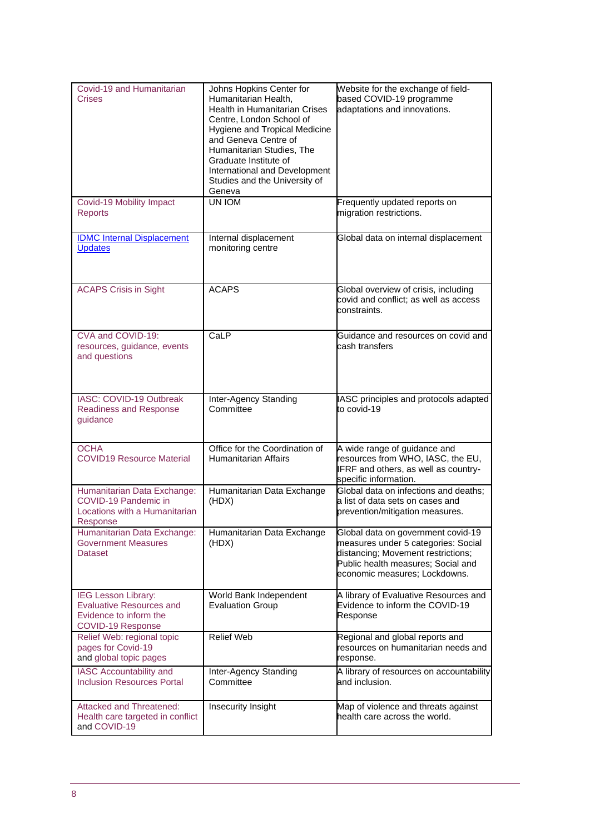| Covid-19 and Humanitarian<br>Crises                                                                   | Johns Hopkins Center for<br>Humanitarian Health,<br><b>Health in Humanitarian Crises</b><br>Centre, London School of<br>Hygiene and Tropical Medicine<br>and Geneva Centre of<br>Humanitarian Studies, The<br>Graduate Institute of<br>International and Development<br>Studies and the University of<br>Geneva | Website for the exchange of field-<br>based COVID-19 programme<br>adaptations and innovations.                                                                                         |
|-------------------------------------------------------------------------------------------------------|-----------------------------------------------------------------------------------------------------------------------------------------------------------------------------------------------------------------------------------------------------------------------------------------------------------------|----------------------------------------------------------------------------------------------------------------------------------------------------------------------------------------|
| Covid-19 Mobility Impact<br><b>Reports</b>                                                            | UN IOM                                                                                                                                                                                                                                                                                                          | Frequently updated reports on<br>migration restrictions.                                                                                                                               |
| <b>IDMC Internal Displacement</b><br><b>Updates</b>                                                   | Internal displacement<br>monitoring centre                                                                                                                                                                                                                                                                      | Global data on internal displacement                                                                                                                                                   |
| <b>ACAPS Crisis in Sight</b>                                                                          | <b>ACAPS</b>                                                                                                                                                                                                                                                                                                    | Global overview of crisis, including<br>covid and conflict; as well as access<br>constraints.                                                                                          |
| CVA and COVID-19:<br>resources, guidance, events<br>and questions                                     | CaLP                                                                                                                                                                                                                                                                                                            | Guidance and resources on covid and<br>cash transfers                                                                                                                                  |
| IASC: COVID-19 Outbreak<br><b>Readiness and Response</b><br>guidance                                  | Inter-Agency Standing<br>Committee                                                                                                                                                                                                                                                                              | <b>IASC principles and protocols adapted</b><br>to covid-19                                                                                                                            |
| <b>OCHA</b><br><b>COVID19 Resource Material</b>                                                       | Office for the Coordination of<br><b>Humanitarian Affairs</b>                                                                                                                                                                                                                                                   | A wide range of guidance and<br>resources from WHO, IASC, the EU,<br>FRF and others, as well as country-<br>specific information.                                                      |
| Humanitarian Data Exchange:<br>COVID-19 Pandemic in<br>Locations with a Humanitarian<br>Response      | Humanitarian Data Exchange<br>(HDX)                                                                                                                                                                                                                                                                             | Global data on infections and deaths;<br>a list of data sets on cases and<br>prevention/mitigation measures.                                                                           |
| Humanitarian Data Exchange:<br><b>Government Measures</b><br><b>Dataset</b>                           | Humanitarian Data Exchange<br>(HDX)                                                                                                                                                                                                                                                                             | Global data on government covid-19<br>measures under 5 categories: Social<br>distancing; Movement restrictions;<br>Public health measures; Social and<br>economic measures; Lockdowns. |
| IEG Lesson Library:<br><b>Evaluative Resources and</b><br>Evidence to inform the<br>COVID-19 Response | World Bank Independent<br><b>Evaluation Group</b>                                                                                                                                                                                                                                                               | A library of Evaluative Resources and<br>Evidence to inform the COVID-19<br>Response                                                                                                   |
| Relief Web: regional topic<br>pages for Covid-19<br>and global topic pages                            | <b>Relief Web</b>                                                                                                                                                                                                                                                                                               | Regional and global reports and<br>resources on humanitarian needs and<br>response.                                                                                                    |
| IASC Accountability and<br><b>Inclusion Resources Portal</b>                                          | Inter-Agency Standing<br>Committee                                                                                                                                                                                                                                                                              | A library of resources on accountability<br>and inclusion.                                                                                                                             |
| <b>Attacked and Threatened:</b><br>Health care targeted in conflict<br>and COVID-19                   | Insecurity Insight                                                                                                                                                                                                                                                                                              | Map of violence and threats against<br>health care across the world.                                                                                                                   |